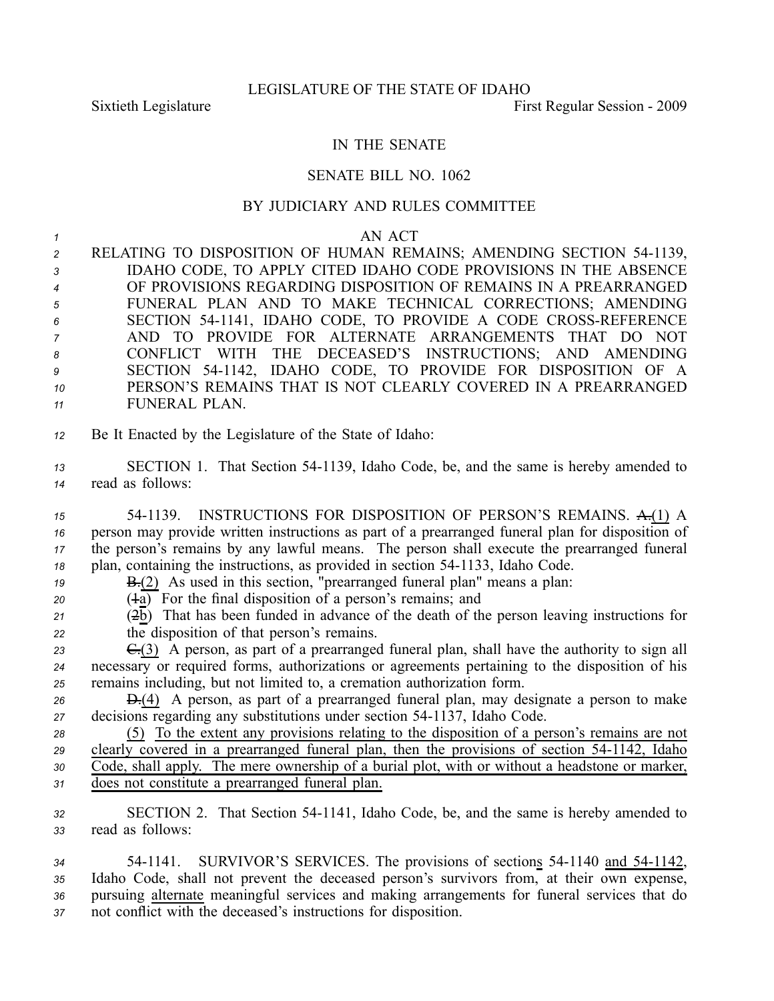## IN THE SENATE

## SENATE BILL NO. 1062

## BY JUDICIARY AND RULES COMMITTEE

*1* AN ACT 2 RELATING TO DISPOSITION OF HUMAN REMAINS; AMENDING SECTION 54-1139, IDAHO CODE, TO APPLY CITED IDAHO CODE PROVISIONS IN THE ABSENCE OF PROVISIONS REGARDING DISPOSITION OF REMAINS IN A PREARRANGED FUNERAL PLAN AND TO MAKE TECHNICAL CORRECTIONS; AMENDING SECTION 541141, IDAHO CODE, TO PROVIDE A CODE CROSSREFERENCE AND TO PROVIDE FOR ALTERNATE ARRANGEMENTS THAT DO NOT CONFLICT WITH THE DECEASED'S INSTRUCTIONS; AND AMENDING SECTION 541142, IDAHO CODE, TO PROVIDE FOR DISPOSITION OF A PERSON'S REMAINS THAT IS NOT CLEARLY COVERED IN A PREARRANGED

- *<sup>11</sup>* FUNERAL PLAN.
- *<sup>12</sup>* Be It Enacted by the Legislature of the State of Idaho:
- *<sup>13</sup>* SECTION 1. That Section 541139, Idaho Code, be, and the same is hereby amended to *<sup>14</sup>* read as follows:
- *<sup>15</sup>* 541139. INSTRUCTIONS FOR DISPOSITION OF PERSON'S REMAINS. A.(1) A *<sup>16</sup>* person may provide written instructions as par<sup>t</sup> of <sup>a</sup> prearranged funeral plan for disposition of *<sup>17</sup>* the person's remains by any lawful means. The person shall execute the prearranged funeral *18* plan, containing the instructions, as provided in section 54-1133, Idaho Code.
- *19* **B.**(2) As used in this section, "prearranged funeral plan" means a plan:
- $20$   $(4a)$  For the final disposition of a person's remains; and
- $(2\overline{b})$  That has been funded in advance of the death of the person leaving instructions for *<sup>22</sup>* the disposition of that person's remains.
- *<sup>23</sup>* C.(3) A person, as par<sup>t</sup> of <sup>a</sup> prearranged funeral plan, shall have the authority to sign all *<sup>24</sup>* necessary or required forms, authorizations or agreements pertaining to the disposition of his *<sup>25</sup>* remains including, but not limited to, <sup>a</sup> cremation authorization form.
- *<sup>26</sup>* D.(4) A person, as par<sup>t</sup> of <sup>a</sup> prearranged funeral plan, may designate <sup>a</sup> person to make 27 decisions regarding any substitutions under section 54-1137, Idaho Code.
- *<sup>28</sup>* (5) To the extent any provisions relating to the disposition of <sup>a</sup> person's remains are not 29 clearly covered in a prearranged funeral plan, then the provisions of section 54-1142, Idaho *<sup>30</sup>* Code, shall apply. The mere ownership of <sup>a</sup> burial plot, with or without <sup>a</sup> headstone or marker, *<sup>31</sup>* does not constitute <sup>a</sup> prearranged funeral plan.
- *<sup>32</sup>* SECTION 2. That Section 541141, Idaho Code, be, and the same is hereby amended to *<sup>33</sup>* read as follows:
- *<sup>34</sup>* 541141. SURVIVOR'S SERVICES. The provisions of sections 541140 and 541142, *<sup>35</sup>* Idaho Code, shall not preven<sup>t</sup> the deceased person's survivors from, at their own expense, *<sup>36</sup>* pursuing alternate meaningful services and making arrangements for funeral services that do *<sup>37</sup>* not conflict with the deceased's instructions for disposition.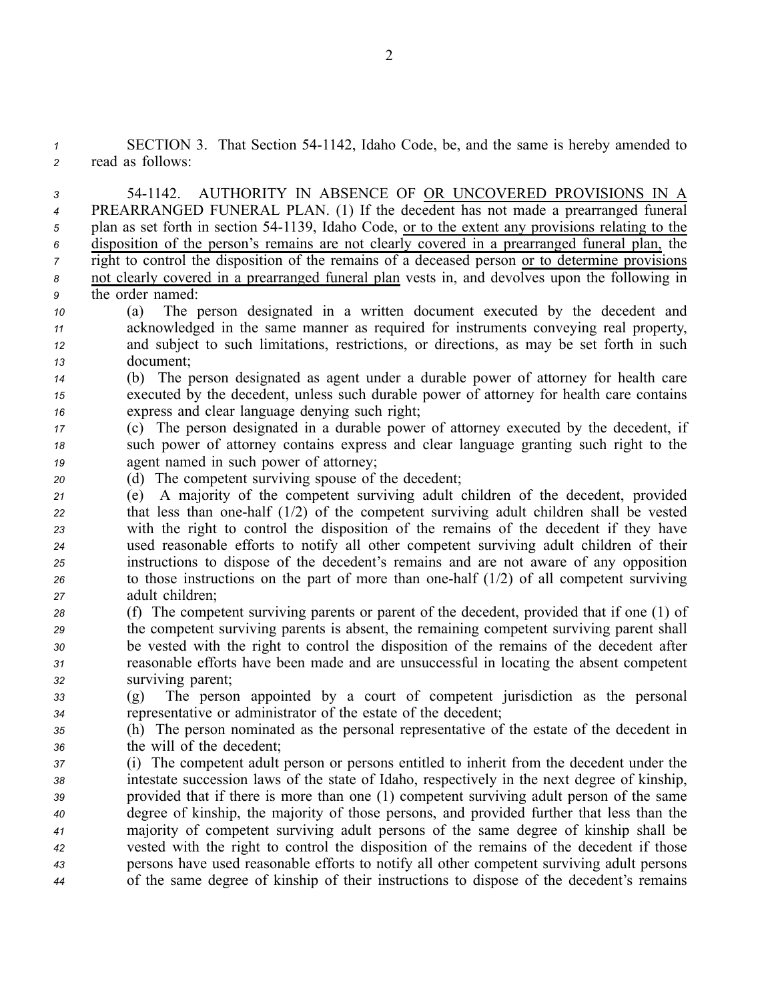*<sup>1</sup>* SECTION 3. That Section 541142, Idaho Code, be, and the same is hereby amended to *<sup>2</sup>* read as follows:

 541142. AUTHORITY IN ABSENCE OF OR UNCOVERED PROVISIONS IN A PREARRANGED FUNERAL PLAN. (1) If the decedent has not made <sup>a</sup> prearranged funeral plan as set forth in section 541139, Idaho Code, or to the extent any provisions relating to the disposition of the person's remains are not clearly covered in <sup>a</sup> prearranged funeral plan, the right to control the disposition of the remains of <sup>a</sup> deceased person or to determine provisions not clearly covered in <sup>a</sup> prearranged funeral plan vests in, and devolves upon the following in the order named:

 (a) The person designated in <sup>a</sup> written document executed by the decedent and acknowledged in the same manner as required for instruments conveying real property, and subject to such limitations, restrictions, or directions, as may be set forth in such document;

*<sup>14</sup>* (b) The person designated as agen<sup>t</sup> under <sup>a</sup> durable power of attorney for health care *<sup>15</sup>* executed by the decedent, unless such durable power of attorney for health care contains *<sup>16</sup>* express and clear language denying such right;

- *<sup>17</sup>* (c) The person designated in <sup>a</sup> durable power of attorney executed by the decedent, if *<sup>18</sup>* such power of attorney contains express and clear language granting such right to the *<sup>19</sup>* agen<sup>t</sup> named in such power of attorney;
- *<sup>20</sup>* (d) The competent surviving spouse of the decedent;
- *<sup>21</sup>* (e) A majority of the competent surviving adult children of the decedent, provided *<sup>22</sup>* that less than onehalf (1/2) of the competent surviving adult children shall be vested *<sup>23</sup>* with the right to control the disposition of the remains of the decedent if they have *<sup>24</sup>* used reasonable efforts to notify all other competent surviving adult children of their *<sup>25</sup>* instructions to dispose of the decedent's remains and are not aware of any opposition *<sup>26</sup>* to those instructions on the par<sup>t</sup> of more than onehalf (1/2) of all competent surviving *<sup>27</sup>* adult children;
- *<sup>28</sup>* (f) The competent surviving parents or paren<sup>t</sup> of the decedent, provided that if one (1) of *<sup>29</sup>* the competent surviving parents is absent, the remaining competent surviving paren<sup>t</sup> shall *<sup>30</sup>* be vested with the right to control the disposition of the remains of the decedent after *<sup>31</sup>* reasonable efforts have been made and are unsuccessful in locating the absent competent *<sup>32</sup>* surviving parent;
- *<sup>33</sup>* (g) The person appointed by <sup>a</sup> court of competent jurisdiction as the personal *<sup>34</sup>* representative or administrator of the estate of the decedent;
- *<sup>35</sup>* (h) The person nominated as the personal representative of the estate of the decedent in *<sup>36</sup>* the will of the decedent;
- *<sup>37</sup>* (i) The competent adult person or persons entitled to inherit from the decedent under the *<sup>38</sup>* intestate succession laws of the state of Idaho, respectively in the next degree of kinship, *<sup>39</sup>* provided that if there is more than one (1) competent surviving adult person of the same *<sup>40</sup>* degree of kinship, the majority of those persons, and provided further that less than the *<sup>41</sup>* majority of competent surviving adult persons of the same degree of kinship shall be *<sup>42</sup>* vested with the right to control the disposition of the remains of the decedent if those *<sup>43</sup>* persons have used reasonable efforts to notify all other competent surviving adult persons *<sup>44</sup>* of the same degree of kinship of their instructions to dispose of the decedent's remains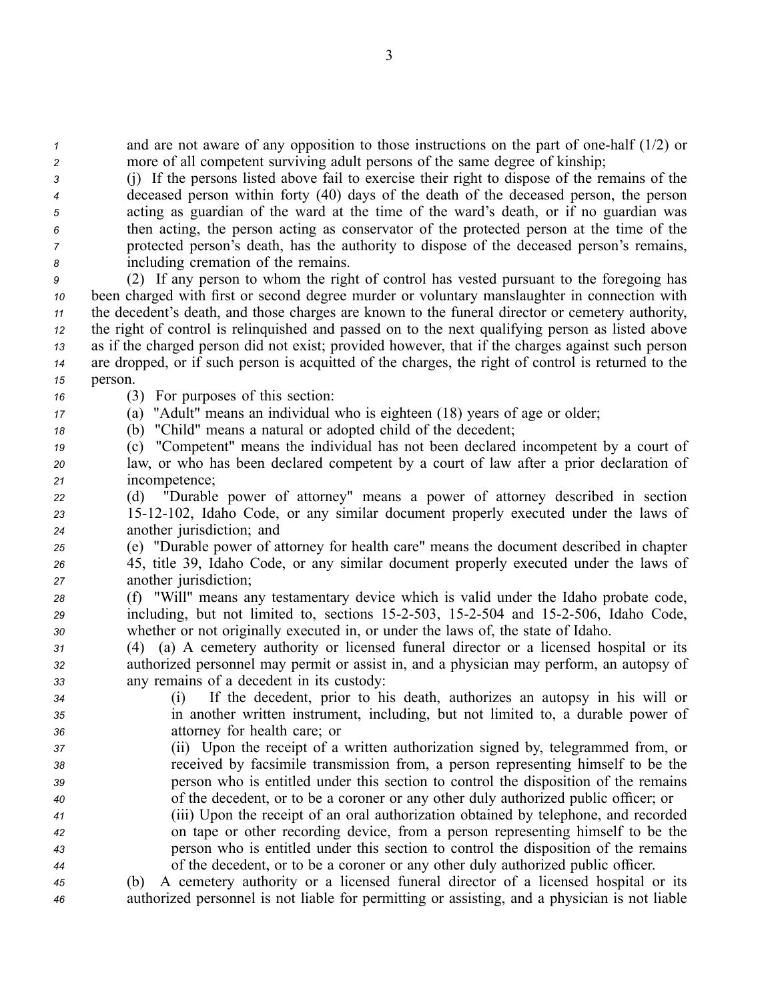*1* and are not aware of any opposition to those instructions on the part of one-half (1/2) or *<sup>2</sup>* more of all competent surviving adult persons of the same degree of kinship;

 (j) If the persons listed above fail to exercise their right to dispose of the remains of the deceased person within forty (40) days of the death of the deceased person, the person acting as guardian of the ward at the time of the ward's death, or if no guardian was then acting, the person acting as conservator of the protected person at the time of the protected person's death, has the authority to dispose of the deceased person's remains, including cremation of the remains.

 (2) If any person to whom the right of control has vested pursuan<sup>t</sup> to the foregoing has been charged with first or second degree murder or voluntary manslaughter in connection with the decedent's death, and those charges are known to the funeral director or cemetery authority, the right of control is relinquished and passed on to the next qualifying person as listed above as if the charged person did not exist; provided however, that if the charges against such person are dropped, or if such person is acquitted of the charges, the right of control is returned to the *15* person.

- *<sup>16</sup>* (3) For purposes of this section:
- *<sup>17</sup>* (a) "Adult" means an individual who is eighteen (18) years of age or older;

*<sup>18</sup>* (b) "Child" means <sup>a</sup> natural or adopted child of the decedent;

- *<sup>19</sup>* (c) "Competent" means the individual has not been declared incompetent by <sup>a</sup> court of *<sup>20</sup>* law, or who has been declared competent by <sup>a</sup> court of law after <sup>a</sup> prior declaration of *<sup>21</sup>* incompetence;
- *<sup>22</sup>* (d) "Durable power of attorney" means <sup>a</sup> power of attorney described in section *<sup>23</sup>* 1512102, Idaho Code, or any similar document properly executed under the laws of *<sup>24</sup>* another jurisdiction; and
- *<sup>25</sup>* (e) "Durable power of attorney for health care" means the document described in chapter *<sup>26</sup>* 45, title 39, Idaho Code, or any similar document properly executed under the laws of *<sup>27</sup>* another jurisdiction;
- *<sup>28</sup>* (f) "Will" means any testamentary device which is valid under the Idaho probate code, *<sup>29</sup>* including, but not limited to, sections 152503, 152504 and 152506, Idaho Code, *<sup>30</sup>* whether or not originally executed in, or under the laws of, the state of Idaho.
- *<sup>31</sup>* (4) (a) A cemetery authority or licensed funeral director or <sup>a</sup> licensed hospital or its *<sup>32</sup>* authorized personnel may permit or assist in, and <sup>a</sup> physician may perform, an autopsy of *<sup>33</sup>* any remains of <sup>a</sup> decedent in its custody:
- *<sup>34</sup>* (i) If the decedent, prior to his death, authorizes an autopsy in his will or *<sup>35</sup>* in another written instrument, including, but not limited to, <sup>a</sup> durable power of *<sup>36</sup>* attorney for health care; or
- *<sup>37</sup>* (ii) Upon the receipt of <sup>a</sup> written authorization signed by, telegrammed from, or *<sup>38</sup>* received by facsimile transmission from, <sup>a</sup> person representing himself to be the *<sup>39</sup>* person who is entitled under this section to control the disposition of the remains *<sup>40</sup>* of the decedent, or to be <sup>a</sup> coroner or any other duly authorized public officer; or
- *<sup>41</sup>* (iii) Upon the receipt of an oral authorization obtained by telephone, and recorded *<sup>42</sup>* on tape or other recording device, from <sup>a</sup> person representing himself to be the *<sup>43</sup>* person who is entitled under this section to control the disposition of the remains *<sup>44</sup>* of the decedent, or to be <sup>a</sup> coroner or any other duly authorized public officer.
- *<sup>45</sup>* (b) A cemetery authority or <sup>a</sup> licensed funeral director of <sup>a</sup> licensed hospital or its *<sup>46</sup>* authorized personnel is not liable for permitting or assisting, and <sup>a</sup> physician is not liable